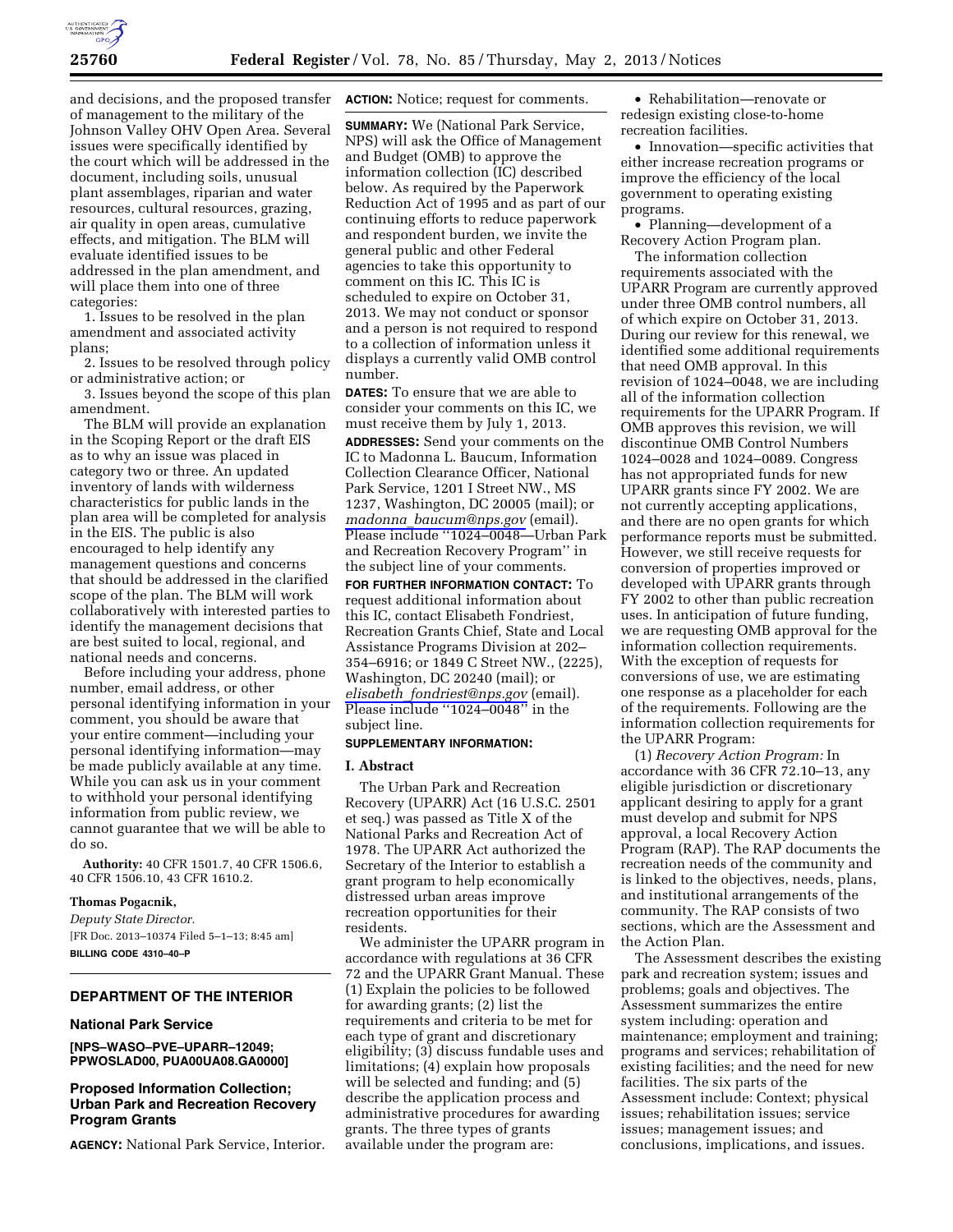

and decisions, and the proposed transfer of management to the military of the Johnson Valley OHV Open Area. Several issues were specifically identified by the court which will be addressed in the document, including soils, unusual plant assemblages, riparian and water resources, cultural resources, grazing, air quality in open areas, cumulative effects, and mitigation. The BLM will evaluate identified issues to be addressed in the plan amendment, and will place them into one of three categories:

1. Issues to be resolved in the plan amendment and associated activity plans;

2. Issues to be resolved through policy or administrative action; or

3. Issues beyond the scope of this plan amendment.

The BLM will provide an explanation in the Scoping Report or the draft EIS as to why an issue was placed in category two or three. An updated inventory of lands with wilderness characteristics for public lands in the plan area will be completed for analysis in the EIS. The public is also encouraged to help identify any management questions and concerns that should be addressed in the clarified scope of the plan. The BLM will work collaboratively with interested parties to identify the management decisions that are best suited to local, regional, and national needs and concerns.

Before including your address, phone number, email address, or other personal identifying information in your comment, you should be aware that your entire comment—including your personal identifying information—may be made publicly available at any time. While you can ask us in your comment to withhold your personal identifying information from public review, we cannot guarantee that we will be able to do so.

**Authority:** 40 CFR 1501.7, 40 CFR 1506.6, 40 CFR 1506.10, 43 CFR 1610.2.

#### **Thomas Pogacnik,**

*Deputy State Director.*  [FR Doc. 2013–10374 Filed 5–1–13; 8:45 am] **BILLING CODE 4310–40–P** 

### **DEPARTMENT OF THE INTERIOR**

#### **National Park Service**

**[NPS–WASO–PVE–UPARR–12049; PPWOSLAD00, PUA00UA08.GA0000]** 

### **Proposed Information Collection; Urban Park and Recreation Recovery Program Grants**

**AGENCY:** National Park Service, Interior.

**ACTION:** Notice; request for comments.

**SUMMARY:** We (National Park Service, NPS) will ask the Office of Management and Budget (OMB) to approve the information collection (IC) described below. As required by the Paperwork Reduction Act of 1995 and as part of our continuing efforts to reduce paperwork and respondent burden, we invite the general public and other Federal agencies to take this opportunity to comment on this IC. This IC is scheduled to expire on October 31, 2013. We may not conduct or sponsor and a person is not required to respond to a collection of information unless it displays a currently valid OMB control number.

**DATES:** To ensure that we are able to consider your comments on this IC, we must receive them by July 1, 2013.

**ADDRESSES:** Send your comments on the IC to Madonna L. Baucum, Information Collection Clearance Officer, National Park Service, 1201 I Street NW., MS 1237, Washington, DC 20005 (mail); or *madonna*\_*[baucum@nps.gov](mailto:madonna_baucum@nps.gov)* (email). Please include ''1024–0048—Urban Park and Recreation Recovery Program'' in the subject line of your comments.

**FOR FURTHER INFORMATION CONTACT:** To request additional information about this IC, contact Elisabeth Fondriest, Recreation Grants Chief, State and Local Assistance Programs Division at 202– 354–6916; or 1849 C Street NW., (2225), Washington, DC 20240 (mail); or *elisabeth*\_*[fondriest@nps.gov](mailto:elisabeth_fondriest@nps.gov)* (email). Please include ''1024–0048'' in the subject line.

## **SUPPLEMENTARY INFORMATION:**

### **I. Abstract**

The Urban Park and Recreation Recovery (UPARR) Act (16 U.S.C. 2501 et seq.) was passed as Title X of the National Parks and Recreation Act of 1978. The UPARR Act authorized the Secretary of the Interior to establish a grant program to help economically distressed urban areas improve recreation opportunities for their residents.

We administer the UPARR program in accordance with regulations at 36 CFR 72 and the UPARR Grant Manual. These (1) Explain the policies to be followed for awarding grants; (2) list the requirements and criteria to be met for each type of grant and discretionary eligibility; (3) discuss fundable uses and limitations; (4) explain how proposals will be selected and funding; and (5) describe the application process and administrative procedures for awarding grants. The three types of grants available under the program are:

• Rehabilitation—renovate or redesign existing close-to-home recreation facilities.

• Innovation—specific activities that either increase recreation programs or improve the efficiency of the local government to operating existing programs.

• Planning—development of a Recovery Action Program plan.

The information collection requirements associated with the UPARR Program are currently approved under three OMB control numbers, all of which expire on October 31, 2013. During our review for this renewal, we identified some additional requirements that need OMB approval. In this revision of 1024–0048, we are including all of the information collection requirements for the UPARR Program. If OMB approves this revision, we will discontinue OMB Control Numbers 1024–0028 and 1024–0089. Congress has not appropriated funds for new UPARR grants since FY 2002. We are not currently accepting applications, and there are no open grants for which performance reports must be submitted. However, we still receive requests for conversion of properties improved or developed with UPARR grants through FY 2002 to other than public recreation uses. In anticipation of future funding, we are requesting OMB approval for the information collection requirements. With the exception of requests for conversions of use, we are estimating one response as a placeholder for each of the requirements. Following are the information collection requirements for the UPARR Program:

(1) *Recovery Action Program:* In accordance with 36 CFR 72.10–13, any eligible jurisdiction or discretionary applicant desiring to apply for a grant must develop and submit for NPS approval, a local Recovery Action Program (RAP). The RAP documents the recreation needs of the community and is linked to the objectives, needs, plans, and institutional arrangements of the community. The RAP consists of two sections, which are the Assessment and the Action Plan.

The Assessment describes the existing park and recreation system; issues and problems; goals and objectives. The Assessment summarizes the entire system including: operation and maintenance; employment and training; programs and services; rehabilitation of existing facilities; and the need for new facilities. The six parts of the Assessment include: Context; physical issues; rehabilitation issues; service issues; management issues; and conclusions, implications, and issues.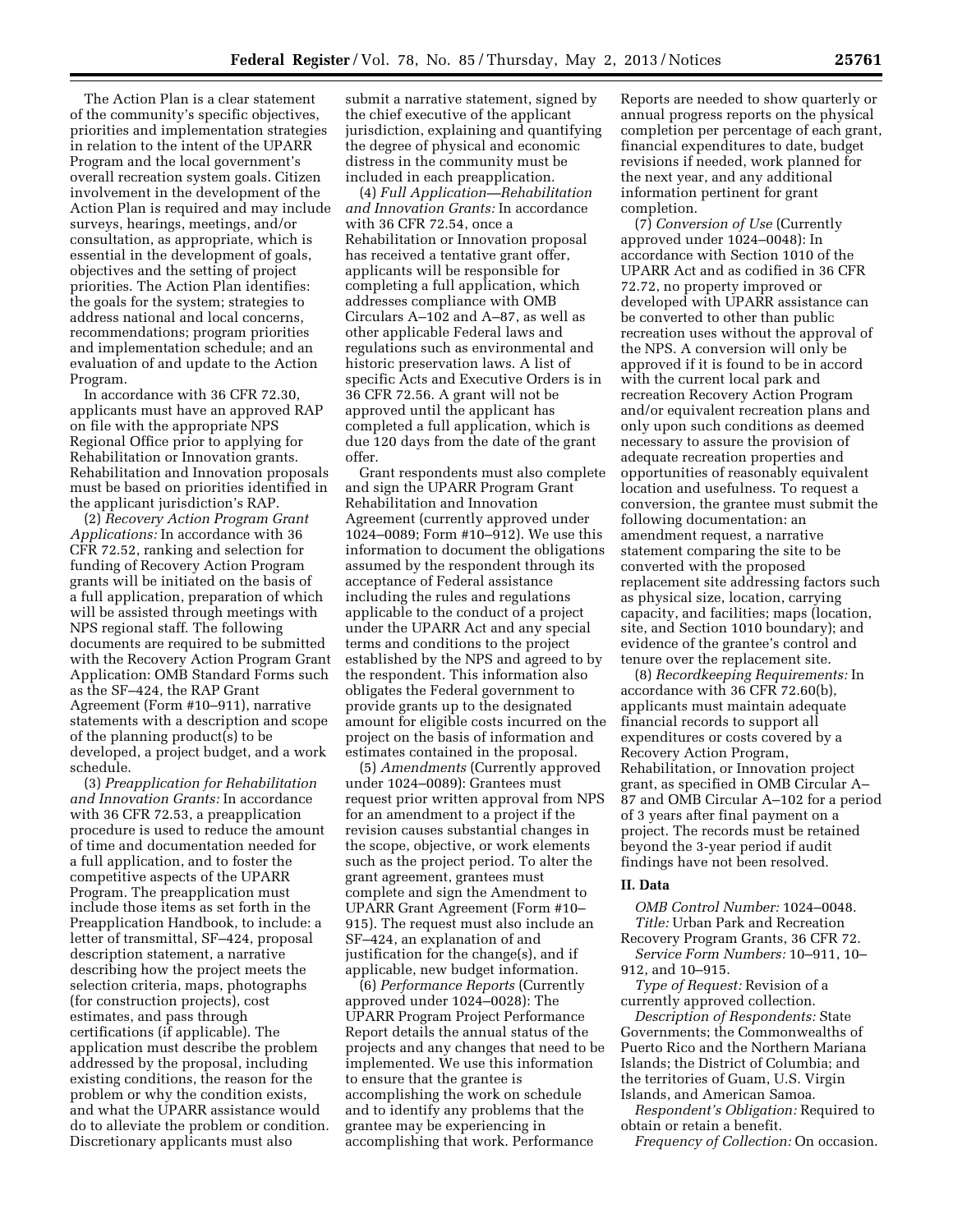The Action Plan is a clear statement of the community's specific objectives, priorities and implementation strategies in relation to the intent of the UPARR Program and the local government's overall recreation system goals. Citizen involvement in the development of the Action Plan is required and may include surveys, hearings, meetings, and/or consultation, as appropriate, which is essential in the development of goals, objectives and the setting of project priorities. The Action Plan identifies: the goals for the system; strategies to address national and local concerns, recommendations; program priorities and implementation schedule; and an evaluation of and update to the Action Program.

In accordance with 36 CFR 72.30, applicants must have an approved RAP on file with the appropriate NPS Regional Office prior to applying for Rehabilitation or Innovation grants. Rehabilitation and Innovation proposals must be based on priorities identified in the applicant jurisdiction's RAP.

(2) *Recovery Action Program Grant Applications:* In accordance with 36 CFR 72.52, ranking and selection for funding of Recovery Action Program grants will be initiated on the basis of a full application, preparation of which will be assisted through meetings with NPS regional staff. The following documents are required to be submitted with the Recovery Action Program Grant Application: OMB Standard Forms such as the SF–424, the RAP Grant Agreement (Form #10–911), narrative statements with a description and scope of the planning product(s) to be developed, a project budget, and a work schedule.

(3) *Preapplication for Rehabilitation and Innovation Grants:* In accordance with 36 CFR 72.53, a preapplication procedure is used to reduce the amount of time and documentation needed for a full application, and to foster the competitive aspects of the UPARR Program. The preapplication must include those items as set forth in the Preapplication Handbook, to include: a letter of transmittal, SF–424, proposal description statement, a narrative describing how the project meets the selection criteria, maps, photographs (for construction projects), cost estimates, and pass through certifications (if applicable). The application must describe the problem addressed by the proposal, including existing conditions, the reason for the problem or why the condition exists, and what the UPARR assistance would do to alleviate the problem or condition. Discretionary applicants must also

submit a narrative statement, signed by the chief executive of the applicant jurisdiction, explaining and quantifying the degree of physical and economic distress in the community must be included in each preapplication.

(4) *Full Application—Rehabilitation and Innovation Grants:* In accordance with 36 CFR 72.54, once a Rehabilitation or Innovation proposal has received a tentative grant offer, applicants will be responsible for completing a full application, which addresses compliance with OMB Circulars A–102 and A–87, as well as other applicable Federal laws and regulations such as environmental and historic preservation laws. A list of specific Acts and Executive Orders is in 36 CFR 72.56. A grant will not be approved until the applicant has completed a full application, which is due 120 days from the date of the grant offer.

Grant respondents must also complete and sign the UPARR Program Grant Rehabilitation and Innovation Agreement (currently approved under 1024–0089; Form #10–912). We use this information to document the obligations assumed by the respondent through its acceptance of Federal assistance including the rules and regulations applicable to the conduct of a project under the UPARR Act and any special terms and conditions to the project established by the NPS and agreed to by the respondent. This information also obligates the Federal government to provide grants up to the designated amount for eligible costs incurred on the project on the basis of information and estimates contained in the proposal.

(5) *Amendments* (Currently approved under 1024–0089): Grantees must request prior written approval from NPS for an amendment to a project if the revision causes substantial changes in the scope, objective, or work elements such as the project period. To alter the grant agreement, grantees must complete and sign the Amendment to UPARR Grant Agreement (Form #10– 915). The request must also include an SF–424, an explanation of and justification for the change(s), and if applicable, new budget information.

(6) *Performance Reports* (Currently approved under 1024–0028): The UPARR Program Project Performance Report details the annual status of the projects and any changes that need to be implemented. We use this information to ensure that the grantee is accomplishing the work on schedule and to identify any problems that the grantee may be experiencing in accomplishing that work. Performance

Reports are needed to show quarterly or annual progress reports on the physical completion per percentage of each grant, financial expenditures to date, budget revisions if needed, work planned for the next year, and any additional information pertinent for grant completion.

(7) *Conversion of Use* (Currently approved under 1024–0048): In accordance with Section 1010 of the UPARR Act and as codified in 36 CFR 72.72, no property improved or developed with UPARR assistance can be converted to other than public recreation uses without the approval of the NPS. A conversion will only be approved if it is found to be in accord with the current local park and recreation Recovery Action Program and/or equivalent recreation plans and only upon such conditions as deemed necessary to assure the provision of adequate recreation properties and opportunities of reasonably equivalent location and usefulness. To request a conversion, the grantee must submit the following documentation: an amendment request, a narrative statement comparing the site to be converted with the proposed replacement site addressing factors such as physical size, location, carrying capacity, and facilities; maps (location, site, and Section 1010 boundary); and evidence of the grantee's control and tenure over the replacement site.

(8) *Recordkeeping Requirements:* In accordance with 36 CFR 72.60(b), applicants must maintain adequate financial records to support all expenditures or costs covered by a Recovery Action Program, Rehabilitation, or Innovation project grant, as specified in OMB Circular A– 87 and OMB Circular A–102 for a period of 3 years after final payment on a project. The records must be retained beyond the 3-year period if audit findings have not been resolved.

#### **II. Data**

*OMB Control Number:* 1024–0048. *Title:* Urban Park and Recreation Recovery Program Grants, 36 CFR 72.

*Service Form Numbers:* 10–911, 10– 912, and 10–915.

*Type of Request:* Revision of a currently approved collection.

*Description of Respondents:* State Governments; the Commonwealths of Puerto Rico and the Northern Mariana Islands; the District of Columbia; and the territories of Guam, U.S. Virgin Islands, and American Samoa.

*Respondent's Obligation:* Required to obtain or retain a benefit.

*Frequency of Collection:* On occasion.